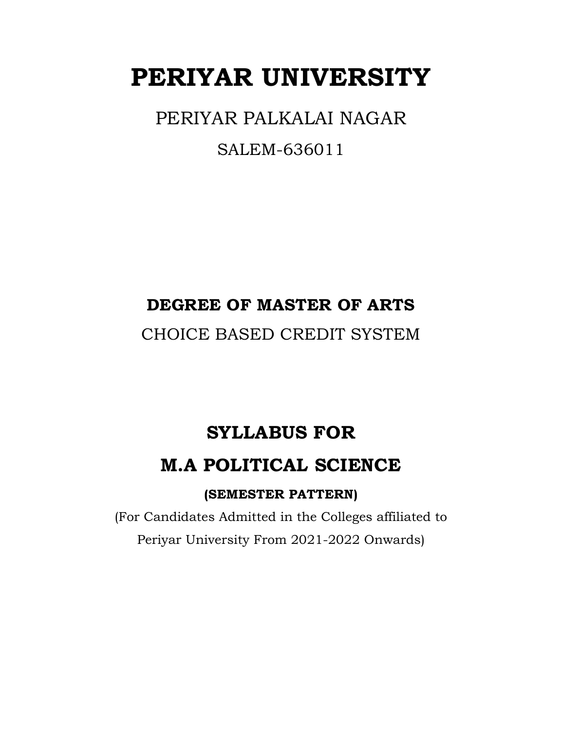# **PERIYAR UNIVERSITY**

PERIYAR PALKALAI NAGAR

SALEM-636011

### **DEGREE OF MASTER OF ARTS**

CHOICE BASED CREDIT SYSTEM

### **SYLLABUS FOR**

### **M.A POLITICAL SCIENCE**

### **(SEMESTER PATTERN)**

(For Candidates Admitted in the Colleges affiliated to Periyar University From 2021-2022 Onwards)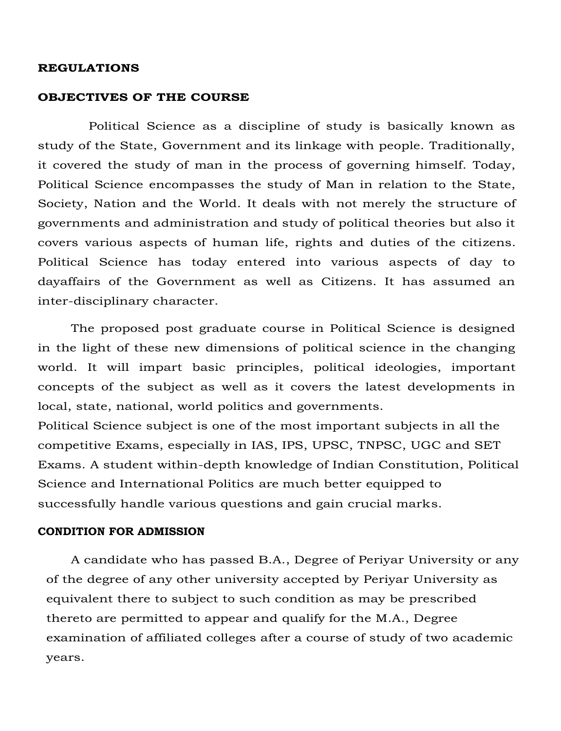#### **REGULATIONS**

#### **OBJECTIVES OF THE COURSE**

 Political Science as a discipline of study is basically known as study of the State, Government and its linkage with people. Traditionally, it covered the study of man in the process of governing himself. Today, Political Science encompasses the study of Man in relation to the State, Society, Nation and the World. It deals with not merely the structure of governments and administration and study of political theories but also it covers various aspects of human life, rights and duties of the citizens. Political Science has today entered into various aspects of day to dayaffairs of the Government as well as Citizens. It has assumed an inter-disciplinary character.

The proposed post graduate course in Political Science is designed in the light of these new dimensions of political science in the changing world. It will impart basic principles, political ideologies, important concepts of the subject as well as it covers the latest developments in local, state, national, world politics and governments.

Political Science subject is one of the most important subjects in all the competitive Exams, especially in IAS, IPS, UPSC, TNPSC, UGC and SET Exams. A student within-depth knowledge of Indian Constitution, Political Science and International Politics are much better equipped to successfully handle various questions and gain crucial marks.

#### **CONDITION FOR ADMISSION**

A candidate who has passed B.A., Degree of Periyar University or any of the degree of any other university accepted by Periyar University as equivalent there to subject to such condition as may be prescribed thereto are permitted to appear and qualify for the M.A., Degree examination of affiliated colleges after a course of study of two academic years.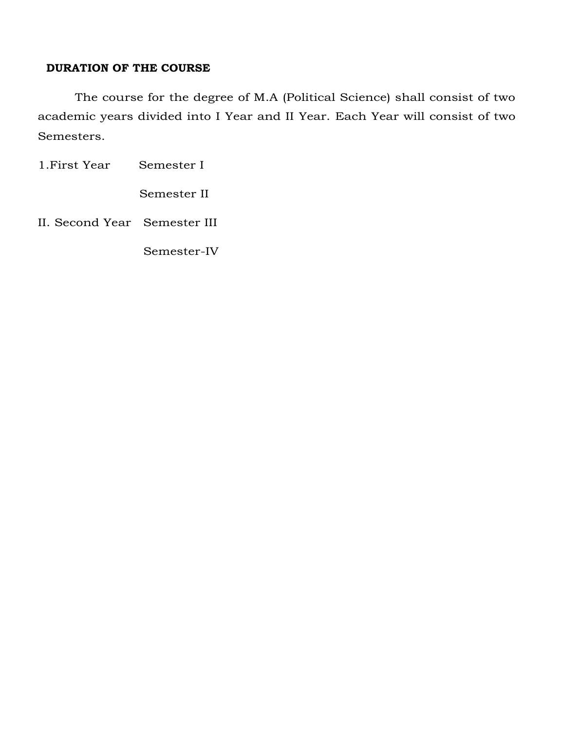#### **DURATION OF THE COURSE**

The course for the degree of M.A (Political Science) shall consist of two academic years divided into I Year and II Year. Each Year will consist of two Semesters.

1.First Year Semester I

Semester II

II. Second Year Semester III

Semester-IV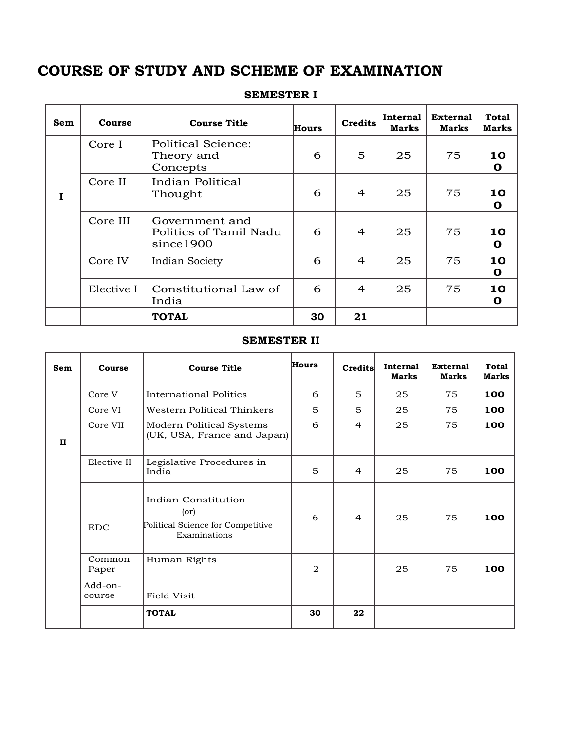### **COURSE OF STUDY AND SCHEME OF EXAMINATION**

| Sem | Course     | <b>Course Title</b>                                    | <b>Hours</b> | Credits | Internal<br>Marks | <b>External</b><br><b>Marks</b> | <b>Total</b><br>Marks |
|-----|------------|--------------------------------------------------------|--------------|---------|-------------------|---------------------------------|-----------------------|
|     | Core I     | <b>Political Science:</b><br>Theory and<br>Concepts    | 5<br>25<br>6 |         | 75                | 10<br>O                         |                       |
| T   | Core II    | Indian Political<br>Thought                            | 6            | 4       | 25<br>75          |                                 | 10<br>O               |
|     | Core III   | Government and<br>Politics of Tamil Nadu<br>since 1900 | 6            | 4       | 25                | 75                              | 10<br>O               |
|     | Core IV    | <b>Indian Society</b>                                  | 6            | 4       | 25                | 75                              | 10<br>O               |
|     | Elective I | Constitutional Law of<br>India                         | 6            | 4       | 25                | 75                              | 10<br>O               |
|     |            | <b>TOTAL</b>                                           | 30           | 21      |                   |                                 |                       |

#### **SEMESTER I**

#### **SEMESTER II**

| <b>Sem</b>               | Course                           | <b>Course Title</b>                                                      | <b>Hours</b> | <b>Credits</b> | Internal<br><b>Marks</b> | <b>External</b><br><b>Marks</b> | <b>Total</b><br><b>Marks</b> |
|--------------------------|----------------------------------|--------------------------------------------------------------------------|--------------|----------------|--------------------------|---------------------------------|------------------------------|
|                          | Core V<br>International Politics |                                                                          | 6            | 5              | 25                       | 75                              | 100                          |
|                          | Core VI                          | Western Political Thinkers                                               | 5            | 5              | 25                       | 75                              | 100                          |
| $\mathbf{H}$             | Core VII                         | Modern Political Systems<br>(UK, USA, France and Japan)                  | 6            | $\overline{4}$ | 25                       | 75                              | 100                          |
|                          | Elective II                      | Legislative Procedures in<br>5<br>India                                  |              | $\overline{4}$ | 25                       | 75                              | 100                          |
| $($ or $)$<br><b>EDC</b> |                                  | Indian Constitution<br>Political Science for Competitive<br>Examinations | 6            | $\overline{4}$ | 25                       | 75                              | 100                          |
|                          | Common<br>Paper                  | Human Rights                                                             | 2            |                | 25                       | 75                              | 100                          |
|                          | Add-on-<br>Field Visit<br>course |                                                                          |              |                |                          |                                 |                              |
|                          | <b>TOTAL</b>                     |                                                                          | 30           | 22             |                          |                                 |                              |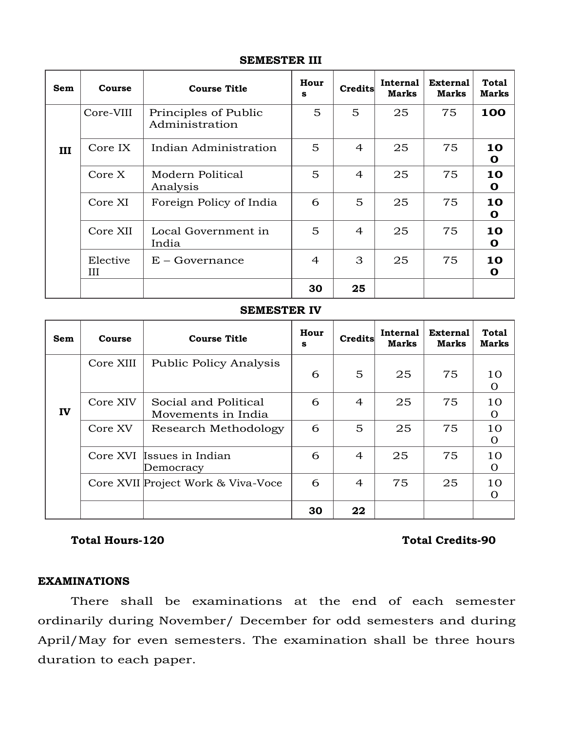| <b>Sem</b>    | Course                                              | <b>Course Title</b>          | Hour<br>s | Credits        | Internal<br><b>Marks</b> | <b>External</b><br><b>Marks</b> | <b>Total</b><br>Marks |
|---------------|-----------------------------------------------------|------------------------------|-----------|----------------|--------------------------|---------------------------------|-----------------------|
|               | Core-VIII<br>Principles of Public<br>Administration |                              | 5         | 5              | 25                       | 75                              | 100                   |
| III           | Core IX                                             | 5<br>Indian Administration   |           | 4              | 25                       | 75                              | 10<br>O               |
|               | Core X                                              | Modern Political<br>Analysis | 5         | $\overline{4}$ | 25                       | 75                              | 10<br>O               |
|               | Core XI<br>Foreign Policy of India                  |                              | 6         | 5              | 25                       | 75                              | 10<br>O               |
|               | Core XII                                            | Local Government in<br>India | 5         | $\overline{4}$ | 25                       | 75                              | 10<br>O               |
| Elective<br>Ш |                                                     | $E - Governance$             | 4         | 3              | 25                       | 75                              | 10<br>O               |
|               |                                                     |                              | 30        | 25             |                          |                                 |                       |

#### **SEMESTER III**

#### **SEMESTER IV**

| Sem                       | Course    | <b>Course Title</b>                        |    | Credits        | <b>Internal</b><br><b>Marks</b> | <b>External</b><br><b>Marks</b> | <b>Total</b><br>Marks |
|---------------------------|-----------|--------------------------------------------|----|----------------|---------------------------------|---------------------------------|-----------------------|
|                           | Core XIII | <b>Public Policy Analysis</b>              | 6  | 5              | 25                              | 75                              | 10<br>O               |
| IV                        | Core XIV  | Social and Political<br>Movements in India |    | $\overline{4}$ | 25                              | 75                              | 10<br>O               |
|                           | Core XV   | Research Methodology                       | 6  | 5              | 25                              | 75                              | 10<br>$\Omega$        |
| Core XVI Issues in Indian |           | Democracy                                  | 6  | $\overline{4}$ | 25                              | 75                              | 10<br>Ω               |
|                           |           | Core XVII Project Work & Viva-Voce         | 6  | $\overline{4}$ | 75                              | 25                              | 10<br>$\Omega$        |
|                           |           |                                            | 30 | 22             |                                 |                                 |                       |

#### **Total Hours-120 Total Credits-90**

#### **EXAMINATIONS**

There shall be examinations at the end of each semester ordinarily during November/ December for odd semesters and during April/May for even semesters. The examination shall be three hours duration to each paper.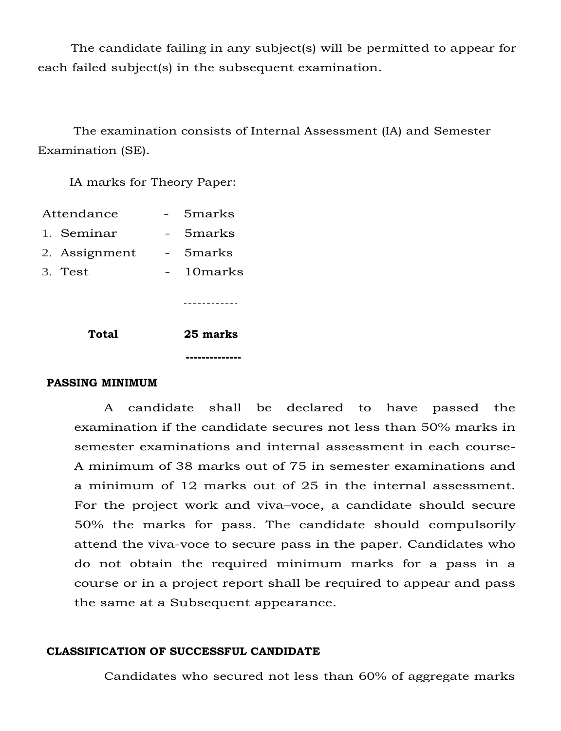The candidate failing in any subject(s) will be permitted to appear for each failed subject(s) in the subsequent examination.

The examination consists of Internal Assessment (IA) and Semester Examination (SE).

IA marks for Theory Paper:

| Attendance |               |  | 5 <sub>marks</sub> |
|------------|---------------|--|--------------------|
|            | 1. Seminar    |  | 5marks             |
|            | 2. Assignment |  | 5marks             |
|            | 3. Test       |  | 10marks            |
|            |               |  |                    |
|            |               |  |                    |
|            |               |  |                    |

**Total 25 marks**

 **--------------**

#### **PASSING MINIMUM**

A candidate shall be declared to have passed the examination if the candidate secures not less than 50% marks in semester examinations and internal assessment in each course-A minimum of 38 marks out of 75 in semester examinations and a minimum of 12 marks out of 25 in the internal assessment. For the project work and viva–voce, a candidate should secure 50% the marks for pass. The candidate should compulsorily attend the viva-voce to secure pass in the paper. Candidates who do not obtain the required minimum marks for a pass in a course or in a project report shall be required to appear and pass the same at a Subsequent appearance.

#### **CLASSIFICATION OF SUCCESSFUL CANDIDATE**

Candidates who secured not less than 60% of aggregate marks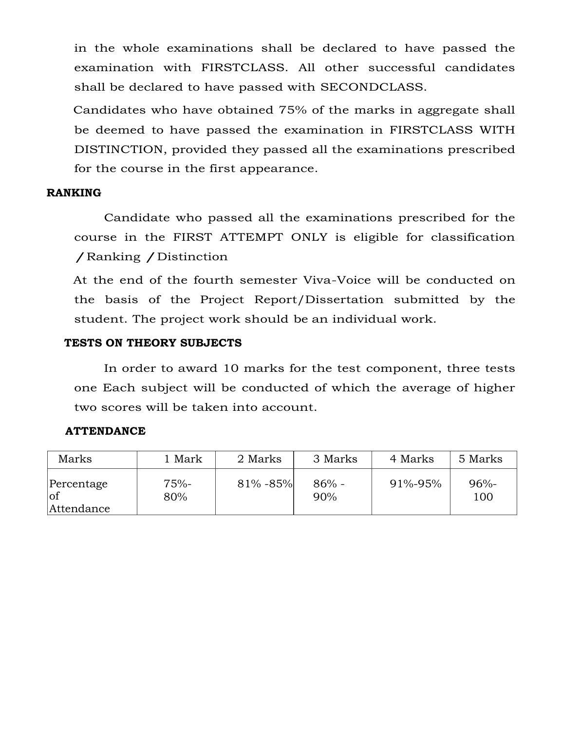in the whole examinations shall be declared to have passed the examination with FIRSTCLASS. All other successful candidates shall be declared to have passed with SECONDCLASS.

Candidates who have obtained 75% of the marks in aggregate shall be deemed to have passed the examination in FIRSTCLASS WITH DISTINCTION, provided they passed all the examinations prescribed for the course in the first appearance.

#### **RANKING**

Candidate who passed all the examinations prescribed for the course in the FIRST ATTEMPT ONLY is eligible for classification /Ranking /Distinction

At the end of the fourth semester Viva-Voice will be conducted on the basis of the Project Report/Dissertation submitted by the student. The project work should be an individual work.

#### **TESTS ON THEORY SUBJECTS**

In order to award 10 marks for the test component, three tests one Each subject will be conducted of which the average of higher two scores will be taken into account.

#### **ATTENDANCE**

| Marks                           | . Mark         | 2 Marks       | 3 Marks        | 4 Marks | 5 Marks        |
|---------------------------------|----------------|---------------|----------------|---------|----------------|
| Percentage<br>lof<br>Attendance | $75% -$<br>80% | $81\% - 85\%$ | $86% -$<br>90% | 91%-95% | $96% -$<br>100 |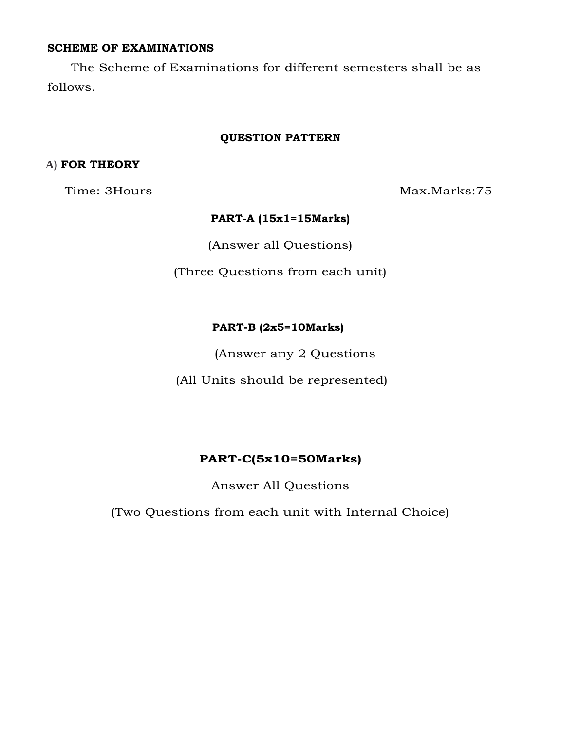#### **SCHEME OF EXAMINATIONS**

The Scheme of Examinations for different semesters shall be as follows.

#### **QUESTION PATTERN**

#### **A) FOR THEORY**

Time: 3Hours Max.Marks:75

#### **PART-A (15x1=15Marks)**

(Answer all Questions)

(Three Questions from each unit)

#### **PART-B (2x5=10Marks)**

(Answer any 2 Questions

(All Units should be represented)

#### **PART-C(5x10=50Marks)**

Answer All Questions

(Two Questions from each unit with Internal Choice)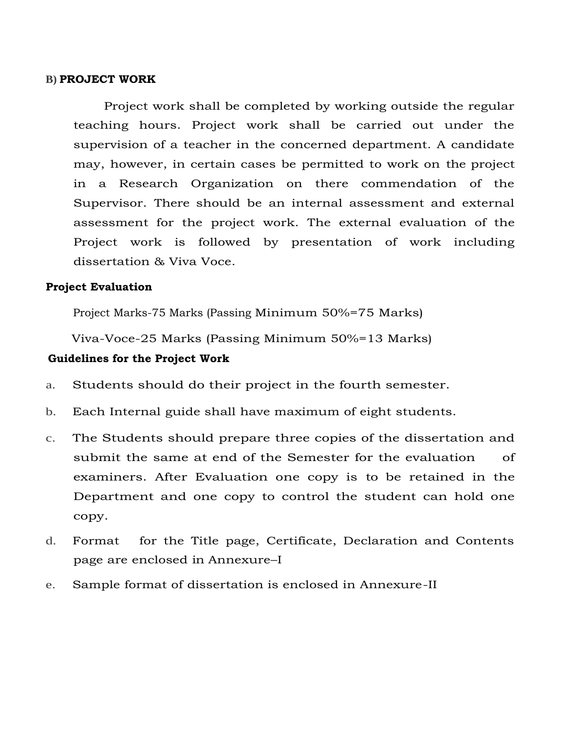#### **B) PROJECT WORK**

Project work shall be completed by working outside the regular teaching hours. Project work shall be carried out under the supervision of a teacher in the concerned department. A candidate may, however, in certain cases be permitted to work on the project in a Research Organization on there commendation of the Supervisor. There should be an internal assessment and external assessment for the project work. The external evaluation of the Project work is followed by presentation of work including dissertation & Viva Voce.

#### **Project Evaluation**

Project Marks-75 Marks (Passing Minimum 50%=75 Marks)

Viva-Voce-25 Marks (Passing Minimum 50%=13 Marks)

#### **Guidelines for the Project Work**

- a. Students should do their project in the fourth semester.
- b. Each Internal guide shall have maximum of eight students.
- c. The Students should prepare three copies of the dissertation and submit the same at end of the Semester for the evaluation of examiners. After Evaluation one copy is to be retained in the Department and one copy to control the student can hold one copy.
- d. Format for the Title page, Certificate, Declaration and Contents page are enclosed in Annexure–I
- e. Sample format of dissertation is enclosed in Annexure-II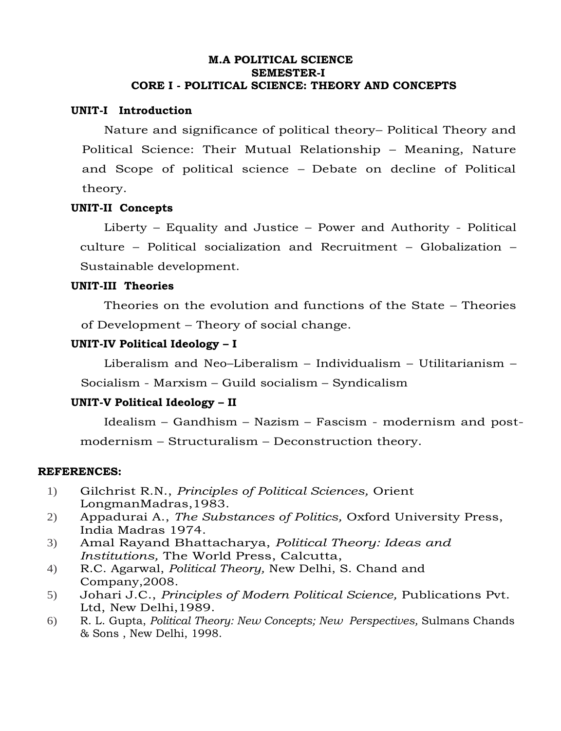#### **M.A POLITICAL SCIENCE SEMESTER-I CORE I - POLITICAL SCIENCE: THEORY AND CONCEPTS**

#### **UNIT-I Introduction**

Nature and significance of political theory– Political Theory and Political Science: Their Mutual Relationship – Meaning, Nature and Scope of political science – Debate on decline of Political theory.

#### **UNIT-II Concepts**

Liberty – Equality and Justice – Power and Authority - Political culture – Political socialization and Recruitment – Globalization – Sustainable development.

#### **UNIT-III Theories**

Theories on the evolution and functions of the State – Theories of Development – Theory of social change.

#### **UNIT-IV Political Ideology – I**

Liberalism and Neo–Liberalism – Individualism – Utilitarianism –

Socialism - Marxism – Guild socialism – Syndicalism

#### **UNIT-V Political Ideology – II**

Idealism – Gandhism – Nazism – Fascism - modernism and postmodernism – Structuralism – Deconstruction theory.

- 1) Gilchrist R.N., *Principles of Political Sciences,* Orient LongmanMadras,1983.
- 2) Appadurai A., *The Substances of Politics,* Oxford University Press, India Madras 1974.
- 3) Amal Rayand Bhattacharya, *Political Theory: Ideas and Institutions,* The World Press, Calcutta,
- 4) R.C. Agarwal, *Political Theory,* New Delhi, S. Chand and Company,2008.
- 5) Johari J.C., *Principles of Modern Political Science,* Publications Pvt. Ltd, New Delhi,1989.
- 6) R. L. Gupta, *Political Theory: New Concepts; New Perspectives,* Sulmans Chands & Sons , New Delhi, 1998.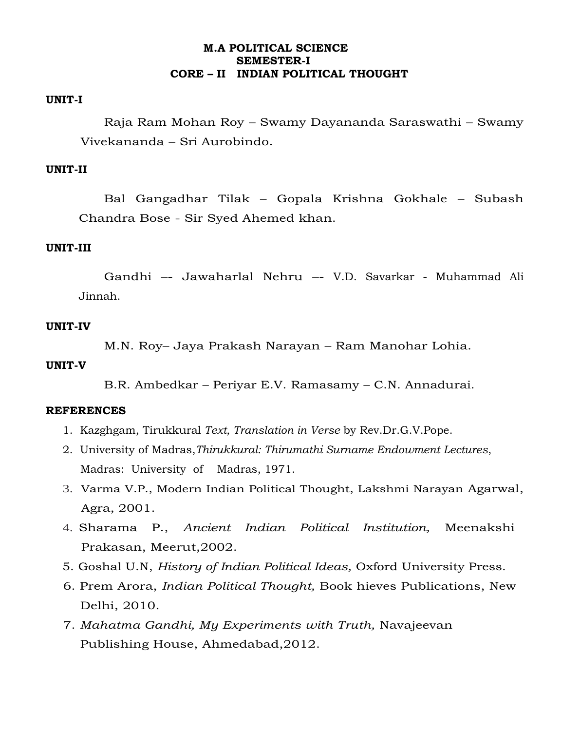#### **M.A POLITICAL SCIENCE SEMESTER-I CORE – II INDIAN POLITICAL THOUGHT**

#### **UNIT-I**

Raja Ram Mohan Roy – Swamy Dayananda Saraswathi – Swamy Vivekananda – Sri Aurobindo.

#### **UNIT-II**

Bal Gangadhar Tilak – Gopala Krishna Gokhale – Subash Chandra Bose - Sir Syed Ahemed khan.

#### **UNIT-III**

Gandhi –- Jawaharlal Nehru –- V.D. Savarkar - Muhammad Ali Jinnah.

#### **UNIT-IV**

M.N. Roy– Jaya Prakash Narayan – Ram Manohar Lohia.

#### **UNIT-V**

B.R. Ambedkar – Periyar E.V. Ramasamy – C.N. Annadurai.

- 1. Kazghgam, Tirukkural *Text, Translation in Verse* by Rev.Dr.G.V.Pope.
- 2. University of Madras,*Thirukkural: Thirumathi Surname Endowment Lectures*, Madras: University of Madras, 1971.
- 3. Varma V.P., Modern Indian Political Thought, Lakshmi Narayan Agarwal, Agra, 2001.
- 4. Sharama P., *Ancient Indian Political Institution,* Meenakshi Prakasan, Meerut,2002.
- 5. Goshal U.N, *History of Indian Political Ideas,* Oxford University Press.
- 6. Prem Arora, *Indian Political Thought,* Book hieves Publications, New Delhi, 2010.
- 7. *Mahatma Gandhi, My Experiments with Truth,* Navajeevan Publishing House, Ahmedabad,2012.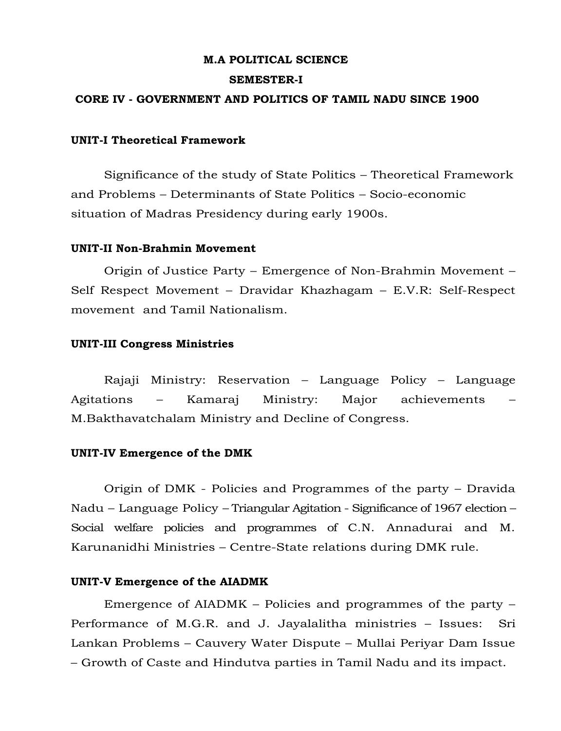#### **M.A POLITICAL SCIENCE**

#### **SEMESTER-I**

#### **CORE IV - GOVERNMENT AND POLITICS OF TAMIL NADU SINCE 1900**

#### **UNIT-I Theoretical Framework**

Significance of the study of State Politics – Theoretical Framework and Problems – Determinants of State Politics – Socio-economic situation of Madras Presidency during early 1900s.

#### **UNIT-II Non-Brahmin Movement**

Origin of Justice Party – Emergence of Non-Brahmin Movement – Self Respect Movement – Dravidar Khazhagam – E.V.R: Self-Respect movement and Tamil Nationalism.

#### **UNIT-III Congress Ministries**

Rajaji Ministry: Reservation – Language Policy – Language Agitations – Kamaraj Ministry: Major achievements – M.Bakthavatchalam Ministry and Decline of Congress.

#### **UNIT-IV Emergence of the DMK**

Origin of DMK - Policies and Programmes of the party – Dravida Nadu – Language Policy – Triangular Agitation - Significance of 1967 election – Social welfare policies and programmes of C.N. Annadurai and M. Karunanidhi Ministries – Centre-State relations during DMK rule.

#### **UNIT-V Emergence of the AIADMK**

Emergence of AIADMK – Policies and programmes of the party – Performance of M.G.R. and J. Jayalalitha ministries – Issues: Sri Lankan Problems – Cauvery Water Dispute – Mullai Periyar Dam Issue – Growth of Caste and Hindutva parties in Tamil Nadu and its impact.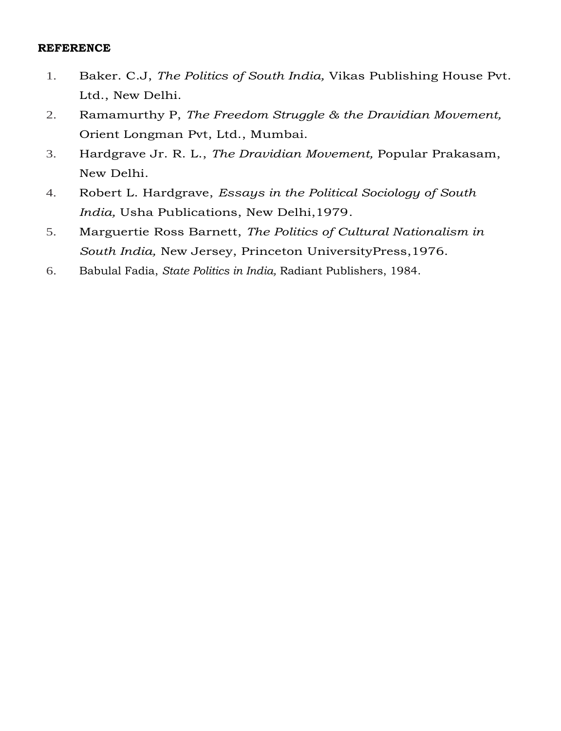- 1. Baker. C.J, *The Politics of South India,* Vikas Publishing House Pvt. Ltd., New Delhi.
- 2. Ramamurthy P, *The Freedom Struggle & the Dravidian Movement,*  Orient Longman Pvt, Ltd., Mumbai.
- 3. Hardgrave Jr. R. L., *The Dravidian Movement,* Popular Prakasam, New Delhi.
- 4. Robert L. Hardgrave, *Essays in the Political Sociology of South India,* Usha Publications, New Delhi,1979.
- 5. Marguertie Ross Barnett, *The Politics of Cultural Nationalism in South India,* New Jersey, Princeton UniversityPress,1976.
- 6. Babulal Fadia, *State Politics in India,* Radiant Publishers, 1984.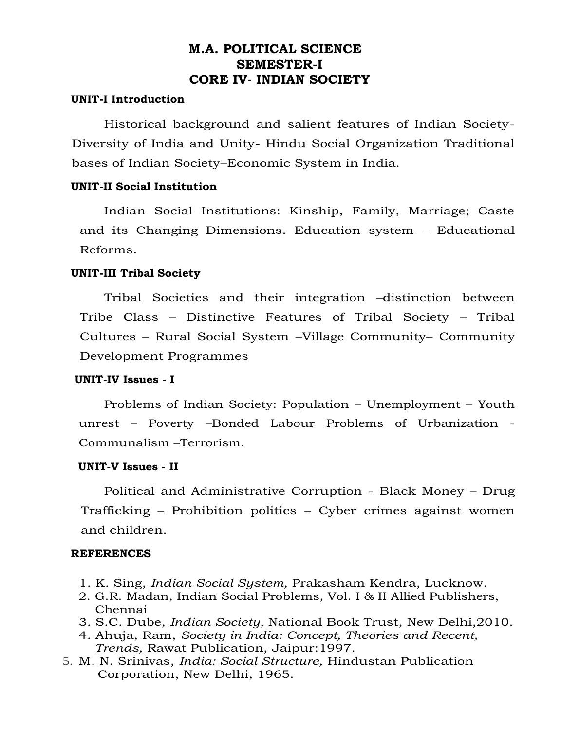#### **M.A. POLITICAL SCIENCE SEMESTER-I CORE IV- INDIAN SOCIETY**

#### **UNIT-I Introduction**

Historical background and salient features of Indian Society-Diversity of India and Unity- Hindu Social Organization Traditional bases of Indian Society–Economic System in India.

#### **UNIT-II Social Institution**

Indian Social Institutions: Kinship, Family, Marriage; Caste and its Changing Dimensions. Education system – Educational Reforms.

#### **UNIT-III Tribal Society**

Tribal Societies and their integration –distinction between Tribe Class – Distinctive Features of Tribal Society – Tribal Cultures – Rural Social System –Village Community– Community Development Programmes

#### **UNIT-IV Issues - I**

Problems of Indian Society: Population – Unemployment – Youth unrest – Poverty –Bonded Labour Problems of Urbanization - Communalism –Terrorism.

#### **UNIT-V Issues - II**

Political and Administrative Corruption - Black Money – Drug Trafficking – Prohibition politics – Cyber crimes against women and children.

- 1. K. Sing, *Indian Social System,* Prakasham Kendra, Lucknow.
- 2. G.R. Madan, Indian Social Problems, Vol. I & II Allied Publishers, Chennai
- 3. S.C. Dube, *Indian Society,* National Book Trust, New Delhi,2010.
- 4. Ahuja, Ram, *Society in India: Concept, Theories and Recent, Trends,* Rawat Publication, Jaipur:1997.
- 5. M. N. Srinivas, *India: Social Structure,* Hindustan Publication Corporation, New Delhi, 1965.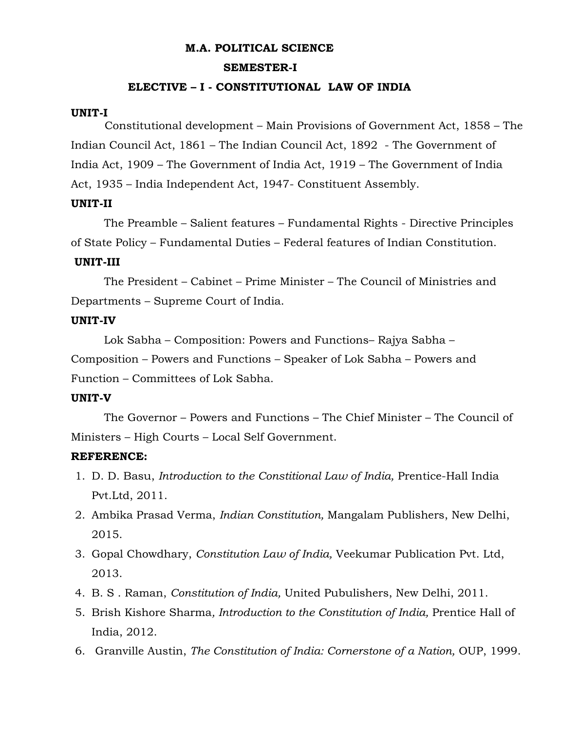#### **M.A. POLITICAL SCIENCE**

#### **SEMESTER-I**

#### **ELECTIVE – I - CONSTITUTIONAL LAW OF INDIA**

#### **UNIT-I**

Constitutional development – Main Provisions of Government Act, 1858 – The Indian Council Act, 1861 – The Indian Council Act, 1892 - The Government of India Act, 1909 – The Government of India Act, 1919 – The Government of India Act, 1935 – India Independent Act, 1947- Constituent Assembly.

#### **UNIT-II**

The Preamble – Salient features – Fundamental Rights - Directive Principles of State Policy – Fundamental Duties – Federal features of Indian Constitution.

#### **UNIT-III**

The President – Cabinet – Prime Minister – The Council of Ministries and Departments – Supreme Court of India.

#### **UNIT-IV**

Lok Sabha – Composition: Powers and Functions– Rajya Sabha –

Composition – Powers and Functions – Speaker of Lok Sabha – Powers and Function – Committees of Lok Sabha.

#### **UNIT-V**

The Governor – Powers and Functions – The Chief Minister – The Council of Ministers – High Courts – Local Self Government.

#### **REFERENCE:**

- 1. D. D. Basu, *Introduction to the Constitional Law of India,* Prentice-Hall India Pvt.Ltd, 2011.
- 2. Ambika Prasad Verma, *Indian Constitution,* Mangalam Publishers, New Delhi, 2015.
- 3. Gopal Chowdhary, *Constitution Law of India,* Veekumar Publication Pvt. Ltd, 2013.
- 4. B. S . Raman, *Constitution of India,* United Pubulishers, New Delhi, 2011.
- 5. Brish Kishore Sharma*, Introduction to the Constitution of India,* Prentice Hall of India, 2012.
- 6. Granville Austin, *The Constitution of India: Cornerstone of a Nation,* OUP, 1999.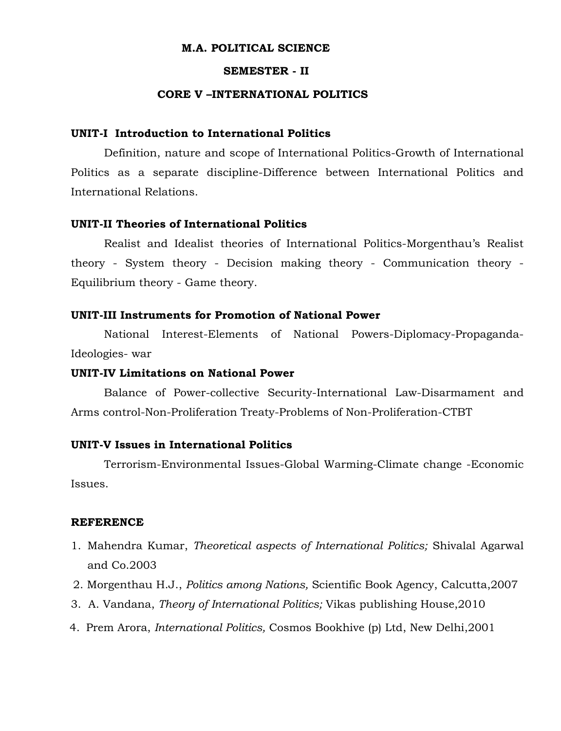#### **M.A. POLITICAL SCIENCE**

#### **SEMESTER - II**

#### **CORE V –INTERNATIONAL POLITICS**

#### **UNIT-I Introduction to International Politics**

Definition, nature and scope of International Politics-Growth of International Politics as a separate discipline-Difference between International Politics and International Relations.

#### **UNIT-II Theories of International Politics**

Realist and Idealist theories of International Politics-Morgenthau's Realist theory - System theory - Decision making theory - Communication theory - Equilibrium theory - Game theory.

#### **UNIT-III Instruments for Promotion of National Power**

National Interest-Elements of National Powers-Diplomacy-Propaganda-Ideologies- war

#### **UNIT-IV Limitations on National Power**

Balance of Power-collective Security-International Law-Disarmament and Arms control-Non-Proliferation Treaty-Problems of Non-Proliferation-CTBT

#### **UNIT-V Issues in International Politics**

Terrorism-Environmental Issues-Global Warming-Climate change -Economic Issues.

- 1. Mahendra Kumar, *Theoretical aspects of International Politics;* Shivalal Agarwal and Co.2003
- 2. Morgenthau H.J., *Politics among Nations,* Scientific Book Agency, Calcutta,2007
- 3. A. Vandana, *Theory of International Politics;* Vikas publishing House,2010
- 4. Prem Arora, *International Politics,* Cosmos Bookhive (p) Ltd, New Delhi,2001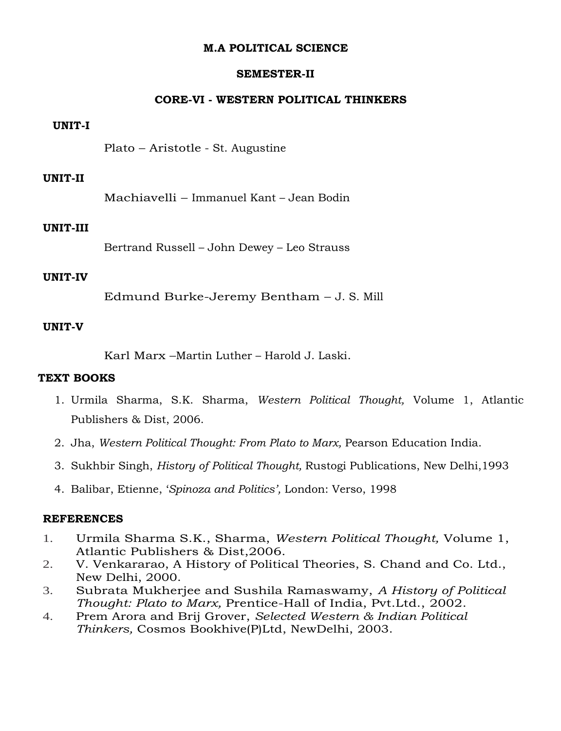#### **M.A POLITICAL SCIENCE**

#### **SEMESTER-II**

#### **CORE-VI - WESTERN POLITICAL THINKERS**

#### **UNIT-I**

Plato – Aristotle - St. Augustine

#### **UNIT-II**

Machiavelli – Immanuel Kant – Jean Bodin

#### **UNIT-III**

Bertrand Russell – John Dewey – Leo Strauss

#### **UNIT-IV**

Edmund Burke-Jeremy Bentham – J. S. Mill

#### **UNIT-V**

Karl Marx –Martin Luther – Harold J. Laski.

#### **TEXT BOOKS**

- 1. Urmila Sharma, S.K. Sharma, *Western Political Thought,* Volume 1, Atlantic Publishers & Dist, 2006.
- 2. Jha, *Western Political Thought: From Plato to Marx,* Pearson Education India.
- 3. Sukhbir Singh, *History of Political Thought,* Rustogi Publications, New Delhi,1993
- 4. Balibar, Etienne, '*Spinoza and Politics',* London: Verso, 1998

- 1. Urmila Sharma S.K., Sharma, *Western Political Thought,* Volume 1, Atlantic Publishers & Dist,2006.
- 2. V. Venkararao, A History of Political Theories, S. Chand and Co. Ltd., New Delhi, 2000.
- 3. Subrata Mukherjee and Sushila Ramaswamy, *A History of Political Thought: Plato to Marx,* Prentice-Hall of India, Pvt.Ltd., 2002.
- 4. Prem Arora and Brij Grover, *Selected Western & Indian Political Thinkers,* Cosmos Bookhive(P)Ltd, NewDelhi, 2003.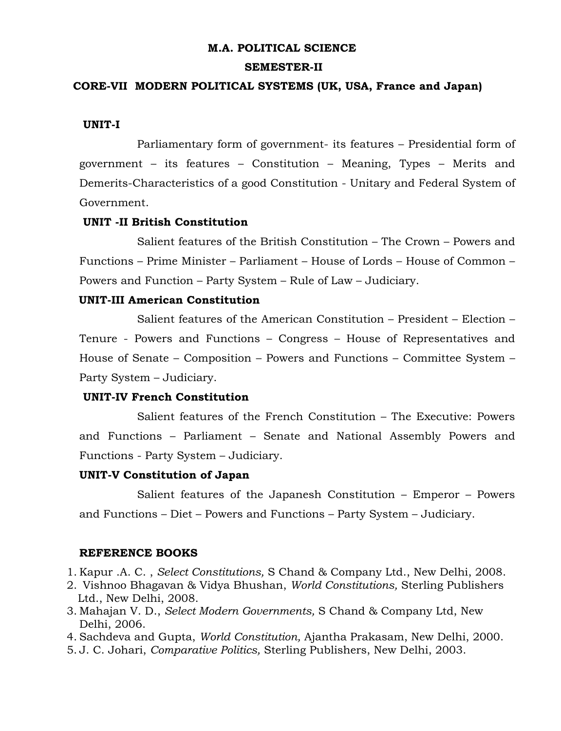#### **M.A. POLITICAL SCIENCE**

#### **SEMESTER-II**

#### **CORE-VII MODERN POLITICAL SYSTEMS (UK, USA, France and Japan)**

#### **UNIT-I**

Parliamentary form of government- its features – Presidential form of government – its features – Constitution – Meaning, Types – Merits and Demerits-Characteristics of a good Constitution - Unitary and Federal System of Government.

#### **UNIT -II British Constitution**

Salient features of the British Constitution – The Crown – Powers and Functions – Prime Minister – Parliament – House of Lords – House of Common – Powers and Function – Party System – Rule of Law – Judiciary.

#### **UNIT-III American Constitution**

Salient features of the American Constitution – President – Election – Tenure - Powers and Functions – Congress – House of Representatives and House of Senate – Composition – Powers and Functions – Committee System – Party System – Judiciary.

#### **UNIT-IV French Constitution**

Salient features of the French Constitution – The Executive: Powers and Functions – Parliament – Senate and National Assembly Powers and Functions - Party System – Judiciary.

#### **UNIT-V Constitution of Japan**

Salient features of the Japanesh Constitution – Emperor – Powers and Functions – Diet – Powers and Functions – Party System – Judiciary.

#### **REFERENCE BOOKS**

1. Kapur .A. C. , *Select Constitutions,* S Chand & Company Ltd., New Delhi, 2008.

- 2. Vishnoo Bhagavan & Vidya Bhushan, *World Constitutions,* Sterling Publishers Ltd., New Delhi, 2008.
- 3. Mahajan V. D., *Select Modern Governments,* S Chand & Company Ltd, New Delhi, 2006.

4. Sachdeva and Gupta, *World Constitution,* Ajantha Prakasam, New Delhi, 2000.

5. J. C. Johari, *Comparative Politics,* Sterling Publishers, New Delhi, 2003.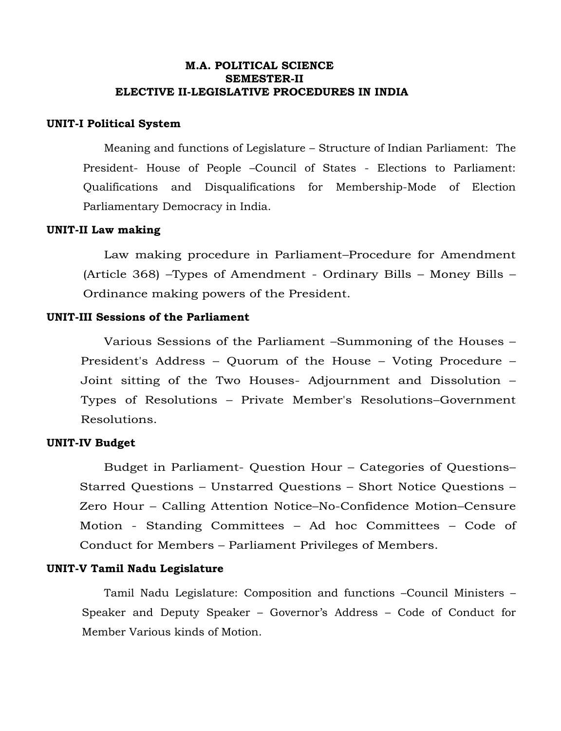#### **M.A. POLITICAL SCIENCE SEMESTER-II ELECTIVE II-LEGISLATIVE PROCEDURES IN INDIA**

#### **UNIT-I Political System**

Meaning and functions of Legislature – Structure of Indian Parliament: The President- House of People –Council of States - Elections to Parliament: Qualifications and Disqualifications for Membership-Mode of Election Parliamentary Democracy in India.

#### **UNIT-II Law making**

Law making procedure in Parliament–Procedure for Amendment (Article 368) –Types of Amendment - Ordinary Bills – Money Bills – Ordinance making powers of the President.

#### **UNIT-III Sessions of the Parliament**

Various Sessions of the Parliament –Summoning of the Houses – President's Address – Quorum of the House – Voting Procedure – Joint sitting of the Two Houses- Adjournment and Dissolution – Types of Resolutions – Private Member's Resolutions–Government Resolutions.

#### **UNIT-IV Budget**

Budget in Parliament- Question Hour – Categories of Questions– Starred Questions – Unstarred Questions – Short Notice Questions – Zero Hour – Calling Attention Notice–No-Confidence Motion–Censure Motion - Standing Committees – Ad hoc Committees – Code of Conduct for Members – Parliament Privileges of Members.

#### **UNIT-V Tamil Nadu Legislature**

Tamil Nadu Legislature: Composition and functions –Council Ministers – Speaker and Deputy Speaker – Governor's Address – Code of Conduct for Member Various kinds of Motion.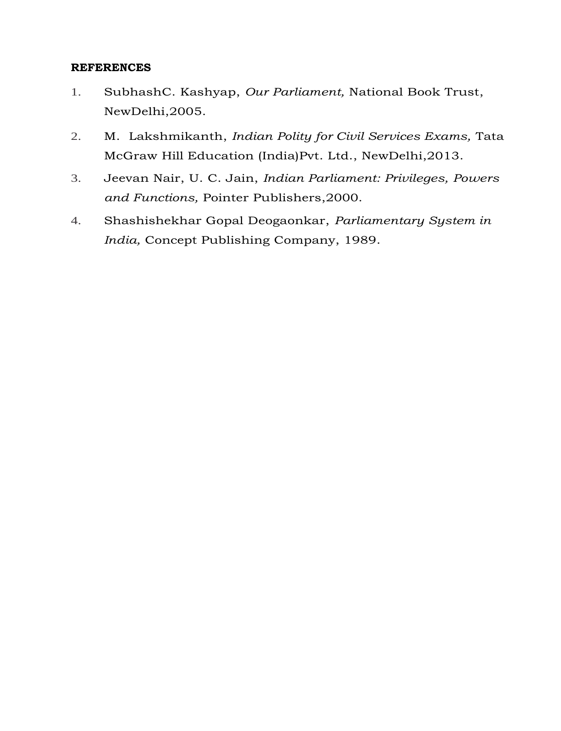- 1. SubhashC. Kashyap, *Our Parliament,* National Book Trust, NewDelhi,2005.
- 2. M. Lakshmikanth, *Indian Polity for Civil Services Exams,* Tata McGraw Hill Education (India)Pvt. Ltd., NewDelhi,2013.
- 3. Jeevan Nair, U. C. Jain, *Indian Parliament: Privileges, Powers and Functions,* Pointer Publishers,2000.
- 4. Shashishekhar Gopal Deogaonkar, *Parliamentary System in India,* Concept Publishing Company, 1989.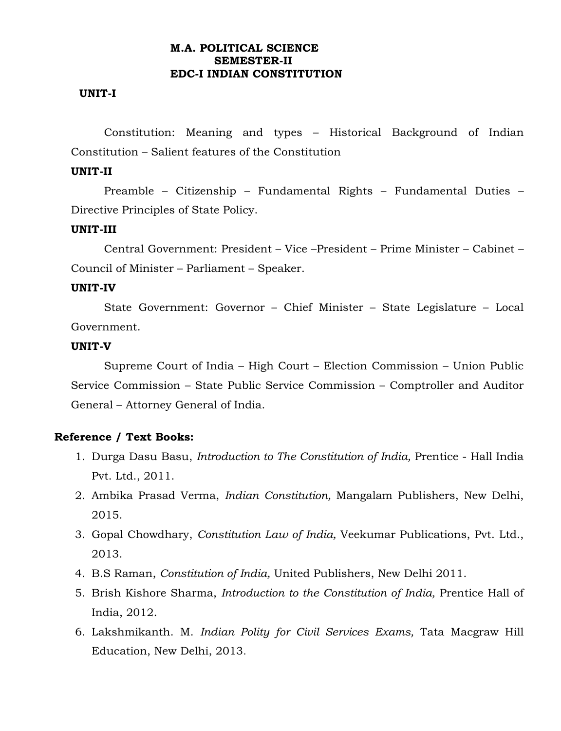#### **M.A. POLITICAL SCIENCE SEMESTER-II EDC-I INDIAN CONSTITUTION**

#### **UNIT-I**

Constitution: Meaning and types – Historical Background of Indian Constitution – Salient features of the Constitution

#### **UNIT-II**

Preamble – Citizenship – Fundamental Rights – Fundamental Duties – Directive Principles of State Policy.

#### **UNIT-III**

Central Government: President – Vice –President – Prime Minister – Cabinet – Council of Minister – Parliament – Speaker.

#### **UNIT-IV**

State Government: Governor – Chief Minister – State Legislature – Local Government.

#### **UNIT-V**

Supreme Court of India – High Court – Election Commission – Union Public Service Commission – State Public Service Commission – Comptroller and Auditor General – Attorney General of India.

#### **Reference / Text Books:**

- 1. Durga Dasu Basu, *Introduction to The Constitution of India,* Prentice Hall India Pvt. Ltd., 2011.
- 2. Ambika Prasad Verma, *Indian Constitution,* Mangalam Publishers, New Delhi, 2015.
- 3. Gopal Chowdhary, *Constitution Law of India,* Veekumar Publications, Pvt. Ltd., 2013.
- 4. B.S Raman, *Constitution of India,* United Publishers, New Delhi 2011.
- 5. Brish Kishore Sharma, *Introduction to the Constitution of India,* Prentice Hall of India, 2012.
- 6. Lakshmikanth. M. *Indian Polity for Civil Services Exams,* Tata Macgraw Hill Education, New Delhi, 2013.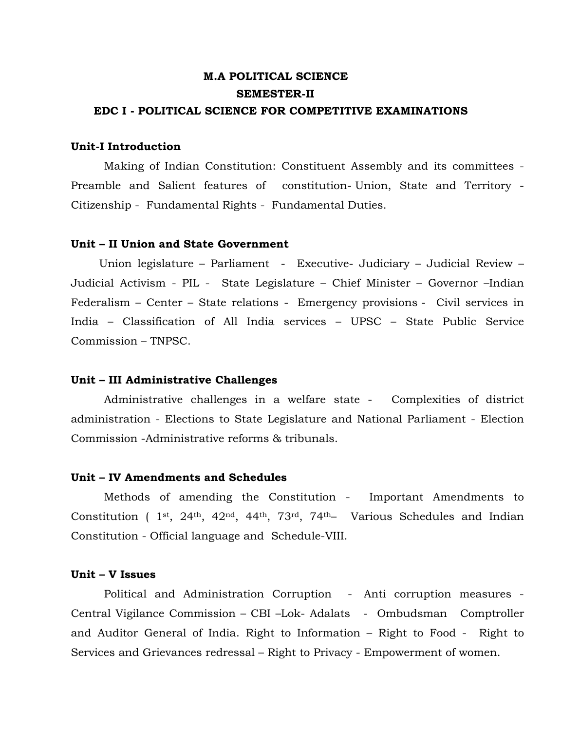### **M.A POLITICAL SCIENCE SEMESTER-II EDC I - POLITICAL SCIENCE FOR COMPETITIVE EXAMINATIONS**

#### **Unit-I Introduction**

Making of Indian Constitution: Constituent Assembly and its committees - [Preamble and Salient features of constitution-](http://www.tnpscguru.in/2015/11/Indian-Polity-Study-Materials-Preamble-To-Constitution.html) [Union, State and Territory](http://www.tnpscguru.in/2016/02/Indian-Polity-Study-Materials-Union-State-and-Territory.html) - [Citizenship](http://www.tnpscguru.in/2016/03/Indian-Polity-Study-Materials-Citizenship-Free-Download.html) - [Fundamental Rights](http://www.tnpscguru.in/2017/03/TNPSC-Indian-Polity-Study-Materials-Fundamental-Rights.html) - [Fundamental Duties.](http://www.tnpscguru.in/2016/01/Indian-Polity-Study-Materials-Fundamental-Duties.html)

#### **Unit – II Union and State Government**

 Union legislature – Parliament - Executive- Judiciary – Judicial Review – Judicial Activism - PIL - State Legislature – Chief Minister – Governor –Indian Federalism – Center – State relations - [Emergency provisions](http://www.tnpscguru.in/2016/03/Indian-Polity-Study-Materials-Emergency-Provisions.html) - Civil services in India – Classification of All India services – UPSC – State Public Service Commission – TNPSC.

#### **Unit – III Administrative Challenges**

Administrative challenges in a welfare state - Complexities of district administration - Elections to State Legislature and National Parliament - Election Commission [-Administrative reforms & tribunals.](http://www.tnpscguru.in/2016/02/Indian-Polity-Study-Materials-Administrative-Tribunals.html) 

#### **Unit – IV Amendments and Schedules**

[Methods](http://www.tnpscguru.in/2016/02/Indian-Polity-Study-Materials-Amendments-To-Constitution.html) of amending the Constitution - [Important Amendments to](http://tnpscgroup4exams.blogspot.com/2014/04/Amendments-to-Constitution-of-India.html)  [Constitution \( 1](http://tnpscgroup4exams.blogspot.com/2014/04/Amendments-to-Constitution-of-India.html)st, 24th, 42nd, 44th, 73rd, 74th– Various Schedules and Indian Constitution - Official language and [Schedule-VIII.](http://www.tnpscguru.in/2017/03/TNPSC-Indian-Polity-Study-Materials-Schedule-VIII.html)

#### **Unit – V Issues**

Political and Administration Corruption - [Anti corruption measures](http://www.tnpscguru.in/2015/12/Indian-Polity-Study-Materials-Central-Vigilance-Commission.html) - [Central Vigilance Commission](http://www.tnpscguru.in/2015/12/Indian-Polity-Study-Materials-Central-Vigilance-Commission.html) – CBI –Lok- [Adalats](http://www.tnpscguru.in/2016/02/Indian-Polity-Study-Materials-Lok-Adalats.html) - [Ombudsman](http://www.tnpscguru.in/2016/02/Indian-Polity-Study-Materials-Ombudsman-Lokpal-Lokayuktas.html) [Comptroller](http://www.tnpscguru.in/2016/03/Indian-Polity-Study-Materials-Comptroller-and-Auditor-General-CAG.html)  [and Auditor General of India.](http://www.tnpscguru.in/2016/03/Indian-Polity-Study-Materials-Comptroller-and-Auditor-General-CAG.html) [Right to Information](http://www.tnpscguru.in/2016/01/Indian-Polity-Study-Materials-Right-To-Information-CIC-SIC.html) – Right to Food - Right to Services and Grievances redressal – Right to Privacy - Empowerment of women.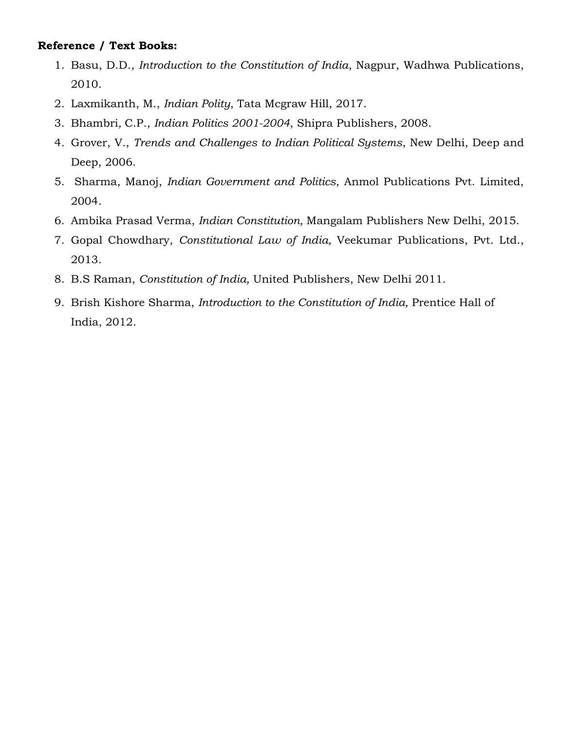#### **Reference / Text Books:**

- 1. Basu, D.D., *Introduction to the Constitution of India*, Nagpur, Wadhwa Publications, 2010.
- 2. Laxmikanth, M., *Indian Polity*, Tata Mcgraw Hill, 2017.
- 3. Bhambri*,* C.P., *Indian Politics 2001-2004*, Shipra Publishers, 2008.
- 4. Grover, V., *Trends and Challenges to Indian Political Systems*, New Delhi, Deep and Deep, 2006.
- 5. [Sharma,](http://www.google.co.in/search?tbo=p&tbm=bks&q=inauthor:%22Manoj+Sharma%22&source=gbs_metadata_r&cad=4) Manoj, *Indian Government and Politics*, Anmol Publications Pvt. Limited, 2004.
- 6. Ambika Prasad Verma, *Indian Constitution,* Mangalam Publishers New Delhi, 2015.
- 7. Gopal Chowdhary, *Constitutional Law of India,* Veekumar Publications, Pvt. Ltd., 2013.
- 8. B.S Raman, *Constitution of India,* United Publishers, New Delhi 2011.
- 9. Brish Kishore Sharma, *Introduction to the Constitution of India,* Prentice Hall of India, 2012.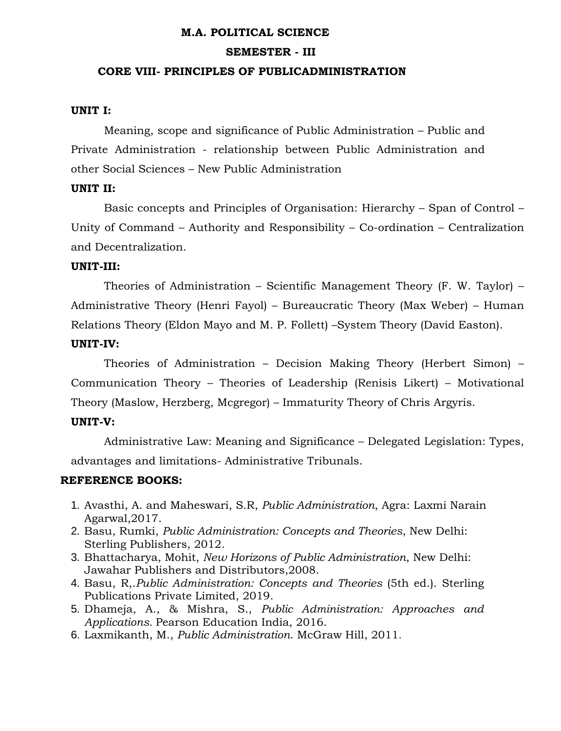#### **M.A. POLITICAL SCIENCE**

#### **SEMESTER - III**

#### **CORE VIII- PRINCIPLES OF PUBLICADMINISTRATION**

#### **UNIT I:**

Meaning, scope and significance of Public Administration – Public and Private Administration - relationship between Public Administration and other Social Sciences – New Public Administration

#### **UNIT II:**

Basic concepts and Principles of Organisation: Hierarchy – Span of Control – Unity of Command – Authority and Responsibility – Co-ordination – Centralization and Decentralization.

#### **UNIT-III:**

Theories of Administration – Scientific Management Theory (F. W. Taylor) – Administrative Theory (Henri Fayol) – Bureaucratic Theory (Max Weber) – Human Relations Theory (Eldon Mayo and M. P. Follett) –System Theory (David Easton).

#### **UNIT-IV:**

Theories of Administration – Decision Making Theory (Herbert Simon) – Communication Theory – Theories of Leadership (Renisis Likert) – Motivational Theory (Maslow, Herzberg, Mcgregor) – Immaturity Theory of Chris Argyris.

#### **UNIT-V:**

Administrative Law: Meaning and Significance – Delegated Legislation: Types, advantages and limitations- Administrative Tribunals.

#### **REFERENCE BOOKS:**

- 1. Avasthi, A. and Maheswari, S.R, *Public Administration*, Agra: Laxmi Narain Agarwal,2017.
- 2. Basu, Rumki, *Public Administration: Concepts and Theories*, New Delhi: Sterling Publishers, 2012.
- 3. Bhattacharya, Mohit, *New Horizons of Public Administration*, New Delhi: Jawahar Publishers and Distributors,2008.
- 4. Basu, R,.*Public Administration: Concepts and Theories* (5th ed.). Sterling Publications Private Limited, 2019.
- 5. Dhameja, A., & Mishra, S., *Public Administration: Approaches and Applications.* Pearson Education India, 2016.
- 6. Laxmikanth, M., *Public Administration*. McGraw Hill, 2011.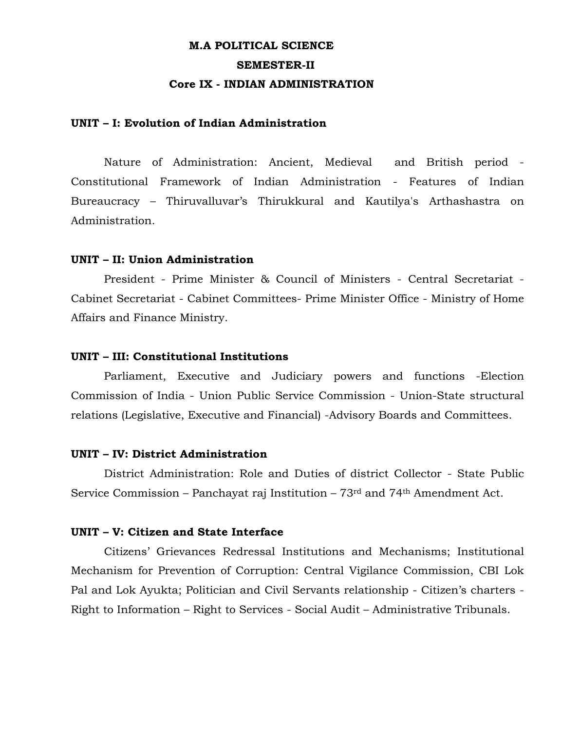### **M.A POLITICAL SCIENCE SEMESTER-II Core IX - INDIAN ADMINISTRATION**

#### **UNIT – I: Evolution of Indian Administration**

Nature of Administration: Ancient, Medieval and British period - Constitutional Framework of Indian Administration - Features of Indian Bureaucracy – Thiruvalluvar's Thirukkural and Kautilya's Arthashastra on Administration.

#### **UNIT – II: Union Administration**

President - Prime Minister & Council of Ministers - Central Secretariat - Cabinet Secretariat - Cabinet Committees- Prime Minister Office - Ministry of Home Affairs and Finance Ministry.

#### **UNIT – III: Constitutional Institutions**

Parliament, Executive and Judiciary powers and functions -Election Commission of India - Union Public Service Commission - Union-State structural relations (Legislative, Executive and Financial) -Advisory Boards and Committees.

#### **UNIT – IV: District Administration**

District Administration: Role and Duties of district Collector - State Public Service Commission – Panchayat raj Institution – 73rd and 74th Amendment Act.

#### **UNIT – V: Citizen and State Interface**

Citizens' Grievances Redressal Institutions and Mechanisms; Institutional Mechanism for Prevention of Corruption: Central Vigilance Commission, CBI Lok Pal and Lok Ayukta; Politician and Civil Servants relationship - Citizen's charters - Right to Information – Right to Services - Social Audit – Administrative Tribunals.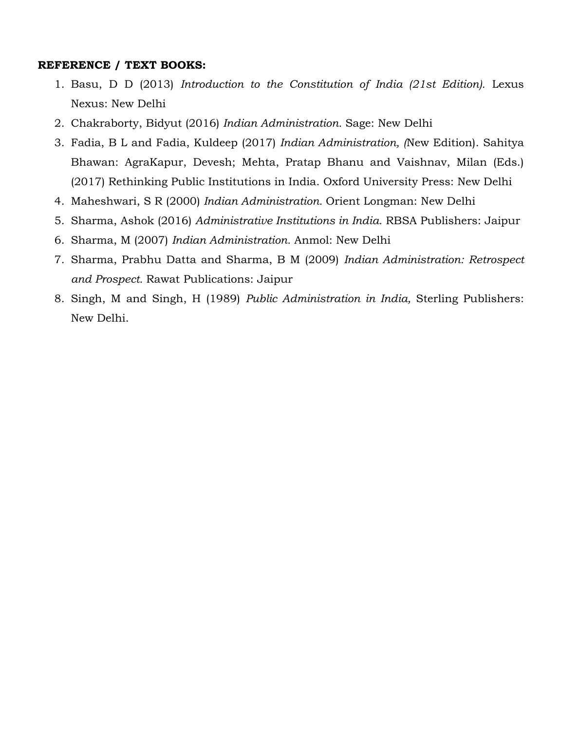#### **REFERENCE / TEXT BOOKS:**

- 1. Basu, D D (2013) *Introduction to the Constitution of India (21st Edition).* Lexus Nexus: New Delhi
- 2. Chakraborty, Bidyut (2016) *Indian Administration.* Sage: New Delhi
- 3. Fadia, B L and Fadia, Kuldeep (2017) *Indian Administration, (*New Edition). Sahitya Bhawan: AgraKapur, Devesh; Mehta, Pratap Bhanu and Vaishnav, Milan (Eds.) (2017) Rethinking Public Institutions in India. Oxford University Press: New Delhi
- 4. Maheshwari, S R (2000) *Indian Administration.* Orient Longman: New Delhi
- 5. Sharma, Ashok (2016) *Administrative Institutions in India.* RBSA Publishers: Jaipur
- 6. Sharma, M (2007) *Indian Administration.* Anmol: New Delhi
- 7. Sharma, Prabhu Datta and Sharma, B M (2009) *Indian Administration: Retrospect and Prospect.* Rawat Publications: Jaipur
- 8. Singh, M and Singh, H (1989) *Public Administration in India,* Sterling Publishers: New Delhi.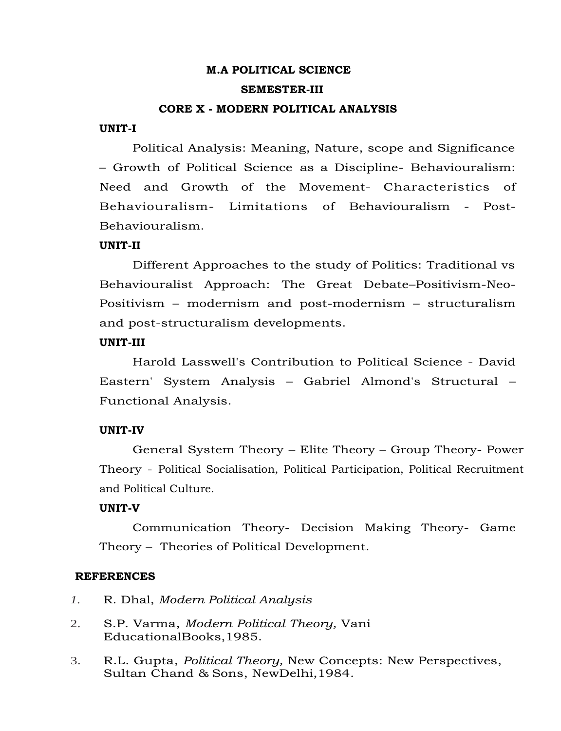### **M.A POLITICAL SCIENCE SEMESTER-III**

#### **CORE X - MODERN POLITICAL ANALYSIS**

#### **UNIT-I**

Political Analysis: Meaning, Nature, scope and Significance – Growth of Political Science as a Discipline- Behaviouralism: Need and Growth of the Movement- Characteristics of Behaviouralism- Limitations of Behaviouralism - Post-Behaviouralism.

#### **UNIT-II**

Different Approaches to the study of Politics: Traditional vs Behaviouralist Approach: The Great Debate–Positivism-Neo-Positivism – modernism and post-modernism – structuralism and post-structuralism developments.

#### **UNIT-III**

Harold Lasswell's Contribution to Political Science - David Eastern' System Analysis – Gabriel Almond's Structural – Functional Analysis.

#### **UNIT-IV**

General System Theory – Elite Theory – Group Theory- Power Theory - Political Socialisation, Political Participation, Political Recruitment and Political Culture.

#### **UNIT-V**

Communication Theory- Decision Making Theory- Game Theory – Theories of Political Development.

- *1.* R. Dhal, *Modern Political Analysis*
- 2. S.P. Varma, *Modern Political Theory,* Vani EducationalBooks,1985.
- 3. R.L. Gupta, *Political Theory,* New Concepts: New Perspectives, Sultan Chand & Sons, NewDelhi,1984.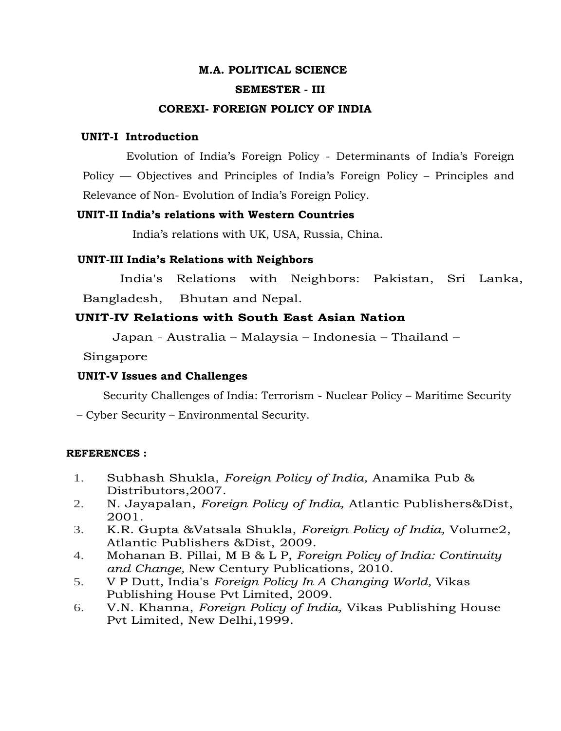### **M.A. POLITICAL SCIENCE SEMESTER - III**

#### **COREXI- FOREIGN POLICY OF INDIA**

#### **UNIT-I Introduction**

 Evolution of India's Foreign Policy - Determinants of India's Foreign Policy –– Objectives and Principles of India's Foreign Policy – Principles and Relevance of Non- Evolution of India's Foreign Policy.

#### **UNIT-II India's relations with Western Countries**

India's relations with UK, USA, Russia, China.

#### **UNIT-III India's Relations with Neighbors**

India's Relations with Neighbors: Pakistan, Sri Lanka, Bangladesh, Bhutan and Nepal.

#### **UNIT-IV Relations with South East Asian Nation**

Japan - Australia – Malaysia – Indonesia – Thailand –

Singapore

#### **UNIT-V Issues and Challenges**

Security Challenges of India: Terrorism - Nuclear Policy – Maritime Security

– Cyber Security – Environmental Security.

- 1. Subhash Shukla, *Foreign Policy of India,* Anamika Pub & Distributors,2007.
- 2. N. Jayapalan, *Foreign Policy of India,* Atlantic Publishers&Dist, 2001.
- 3. K.R. Gupta &Vatsala Shukla, *Foreign Policy of India,* Volume2, Atlantic Publishers &Dist, 2009.
- 4. Mohanan B. Pillai, M B & L P, *Foreign Policy of India: Continuity and Change,* New Century Publications, 2010.
- 5. V P Dutt, India's *Foreign Policy In A Changing World,* Vikas Publishing House Pvt Limited, 2009.
- 6. V.N. Khanna, *Foreign Policy of India,* Vikas Publishing House Pvt Limited, New Delhi,1999.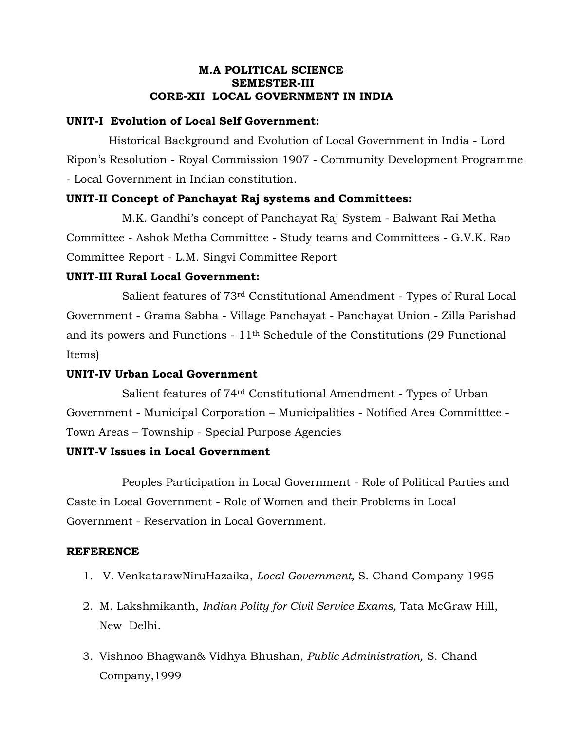#### **M.A POLITICAL SCIENCE SEMESTER-III CORE-XII LOCAL GOVERNMENT IN INDIA**

#### **UNIT-I Evolution of Local Self Government:**

 Historical Background and Evolution of Local Government in India - Lord Ripon's Resolution - Royal Commission 1907 - Community Development Programme - Local Government in Indian constitution.

#### **UNIT-II Concept of Panchayat Raj systems and Committees:**

M.K. Gandhi's concept of Panchayat Raj System - Balwant Rai Metha Committee - Ashok Metha Committee - Study teams and Committees - G.V.K. Rao Committee Report - L.M. Singvi Committee Report

#### **UNIT-III Rural Local Government:**

 Salient features of 73rd Constitutional Amendment - Types of Rural Local Government - Grama Sabha - Village Panchayat - Panchayat Union - Zilla Parishad and its powers and Functions -  $11<sup>th</sup>$  Schedule of the Constitutions (29 Functional Items)

#### **UNIT-IV Urban Local Government**

Salient features of 74rd Constitutional Amendment - Types of Urban Government - Municipal Corporation – Municipalities - Notified Area Committtee - Town Areas – Township - Special Purpose Agencies

#### **UNIT-V Issues in Local Government**

Peoples Participation in Local Government - Role of Political Parties and Caste in Local Government - Role of Women and their Problems in Local Government - Reservation in Local Government.

- 1. V. VenkatarawNiruHazaika, *Local Government,* S. Chand Company 1995
- 2. M. Lakshmikanth, *Indian Polity for Civil Service Exams,* Tata McGraw Hill, New Delhi.
- 3. Vishnoo Bhagwan& Vidhya Bhushan, *Public Administration,* S. Chand Company,1999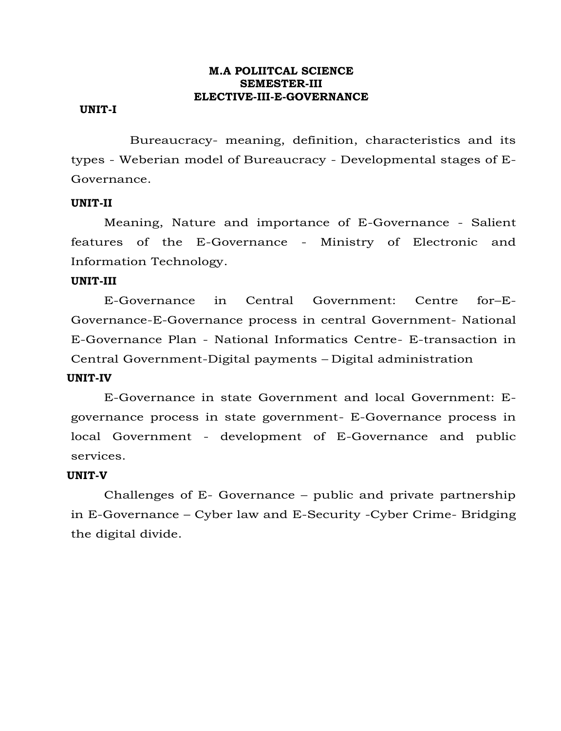#### **M.A POLIITCAL SCIENCE SEMESTER-III ELECTIVE-III-E-GOVERNANCE**

#### **UNIT-I**

 Bureaucracy- meaning, definition, characteristics and its types - Weberian model of Bureaucracy - Developmental stages of E-Governance.

#### **UNIT-II**

Meaning, Nature and importance of E-Governance - Salient features of the E-Governance - Ministry of Electronic and Information Technology.

#### **UNIT-III**

E-Governance in Central Government: Centre for–E-Governance-E-Governance process in central Government- National E-Governance Plan - National Informatics Centre- E-transaction in Central Government-Digital payments – Digital administration

#### **UNIT-IV**

E-Governance in state Government and local Government: Egovernance process in state government- E-Governance process in local Government - development of E-Governance and public services.

#### **UNIT-V**

Challenges of E- Governance – public and private partnership in E-Governance – Cyber law and E-Security -Cyber Crime- Bridging the digital divide.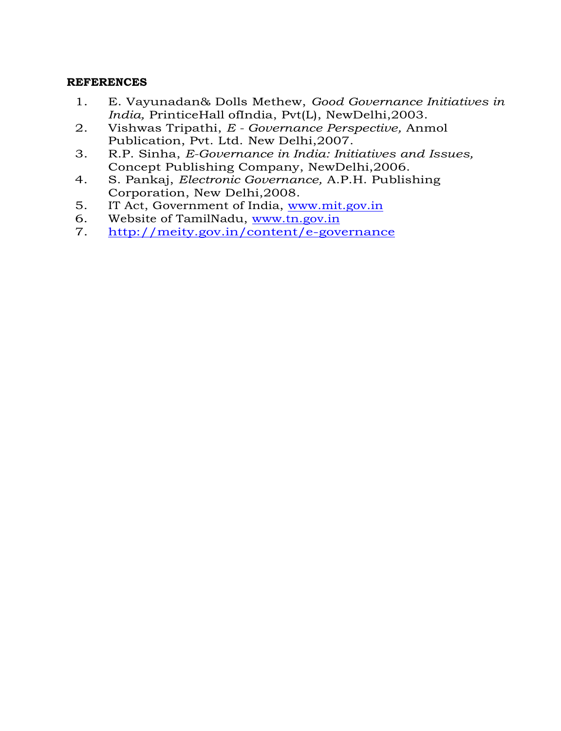- 1. E. Vayunadan& Dolls Methew, *Good Governance Initiatives in India,* PrinticeHall ofIndia, Pvt(L), NewDelhi,2003.
- 2. Vishwas Tripathi, *E - Governance Perspective,* Anmol Publication, Pvt. Ltd. New Delhi,2007.
- 3. R.P. Sinha, *E-Governance in India: Initiatives and Issues,* Concept Publishing Company, NewDelhi,2006.
- 4. S. Pankaj, *Electronic Governance,* A.P.H. Publishing Corporation, New Delhi,2008.
- 5. IT Act, Government of India, [www.mit.gov.in](http://www.mit.gov.in/)<br>6. Website of TamilNadu, www.tn.gov.in
- Website of TamilNadu, [www.tn.gov.in](http://www.tn.gov.in/)
- 7. <http://meity.gov.in/content/e-governance>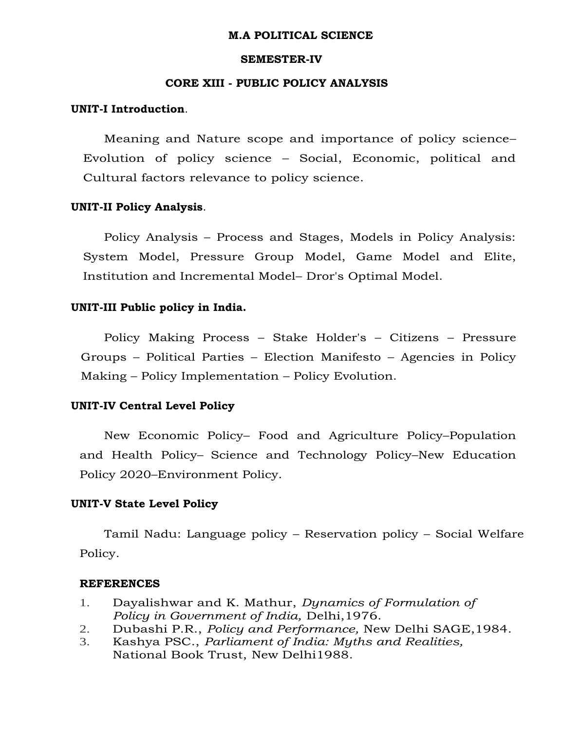#### **M.A POLITICAL SCIENCE**

#### **SEMESTER-IV**

#### **CORE XIII - PUBLIC POLICY ANALYSIS**

#### **UNIT-I Introduction**.

Meaning and Nature scope and importance of policy science– Evolution of policy science – Social, Economic, political and Cultural factors relevance to policy science.

#### **UNIT-II Policy Analysis**.

Policy Analysis – Process and Stages, Models in Policy Analysis: System Model, Pressure Group Model, Game Model and Elite, Institution and Incremental Model– Dror's Optimal Model.

#### **UNIT-III Public policy in India.**

Policy Making Process – Stake Holder's – Citizens – Pressure Groups – Political Parties – Election Manifesto – Agencies in Policy Making – Policy Implementation – Policy Evolution.

#### **UNIT-IV Central Level Policy**

New Economic Policy– Food and Agriculture Policy–Population and Health Policy– Science and Technology Policy–New Education Policy 2020–Environment Policy.

#### **UNIT-V State Level Policy**

Tamil Nadu: Language policy – Reservation policy – Social Welfare Policy.

- 1. Dayalishwar and K. Mathur, *Dynamics of Formulation of Policy in Government of India,* Delhi,1976.
- 2. Dubashi P.R., *Policy and Performance,* New Delhi SAGE,1984.
- 3. Kashya PSC., *Parliament of India: Myths and Realities,*  National Book Trust, New Delhi1988.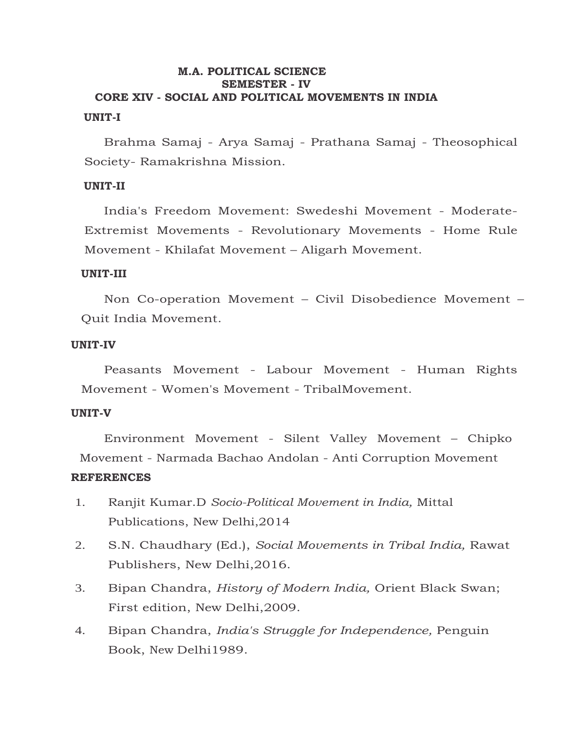#### **M.A. POLITICAL SCIENCE SEMESTER - IV CORE XIV - SOCIAL AND POLITICAL MOVEMENTS IN INDIA UNIT-I**

Brahma Samaj - Arya Samaj - Prathana Samaj - Theosophical Society- Ramakrishna Mission.

#### **UNIT-II**

India's Freedom Movement: Swedeshi Movement - Moderate-Extremist Movements - Revolutionary Movements - Home Rule Movement - Khilafat Movement – Aligarh Movement.

#### **UNIT-III**

Non Co-operation Movement – Civil Disobedience Movement – Quit India Movement.

#### **UNIT-IV**

Peasants Movement - Labour Movement - Human Rights Movement - Women's Movement - TribalMovement.

#### **UNIT-V**

Environment Movement - Silent Valley Movement – Chipko Movement - Narmada Bachao Andolan - Anti Corruption Movement

- 1. Ranjit Kumar.D *Socio-Political Movement in India,* Mittal Publications, New Delhi,2014
- 2. S.N. Chaudhary (Ed.), *Social Movements in Tribal India,* Rawat Publishers, New Delhi,2016.
- 3. Bipan Chandra, *History of Modern India,* Orient Black Swan; First edition, New Delhi,2009.
- 4. Bipan Chandra, *India's Struggle for Independence,* Penguin Book, New Delhi1989.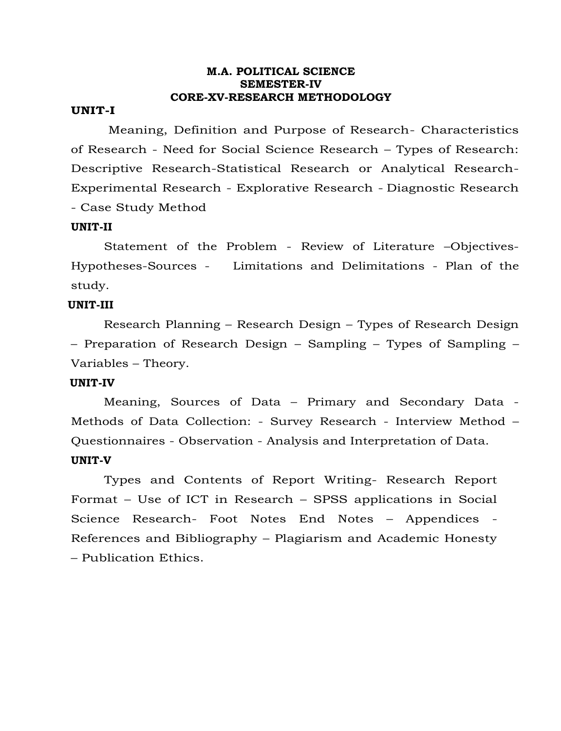#### **M.A. POLITICAL SCIENCE SEMESTER-IV CORE-XV-RESEARCH METHODOLOGY**

#### **UNIT-I**

Meaning, Definition and Purpose of Research- Characteristics of Research - Need for Social Science Research – Types of Research: Descriptive Research-Statistical Research or Analytical Research-Experimental Research - Explorative Research - Diagnostic Research - Case Study Method

#### **UNIT-II**

Statement of the Problem - Review of Literature –Objectives-Hypotheses-Sources - Limitations and Delimitations - Plan of the study.

#### **UNIT-III**

 Research Planning – Research Design – Types of Research Design – Preparation of Research Design – Sampling – Types of Sampling – Variables – Theory.

#### **UNIT-IV**

 Meaning, Sources of Data – Primary and Secondary Data - Methods of Data Collection: - Survey Research - Interview Method – Questionnaires - Observation - Analysis and Interpretation of Data. **UNIT-V** 

Types and Contents of Report Writing- Research Report Format – Use of ICT in Research – SPSS applications in Social Science Research- Foot Notes End Notes – Appendices - References and Bibliography – Plagiarism and Academic Honesty – Publication Ethics.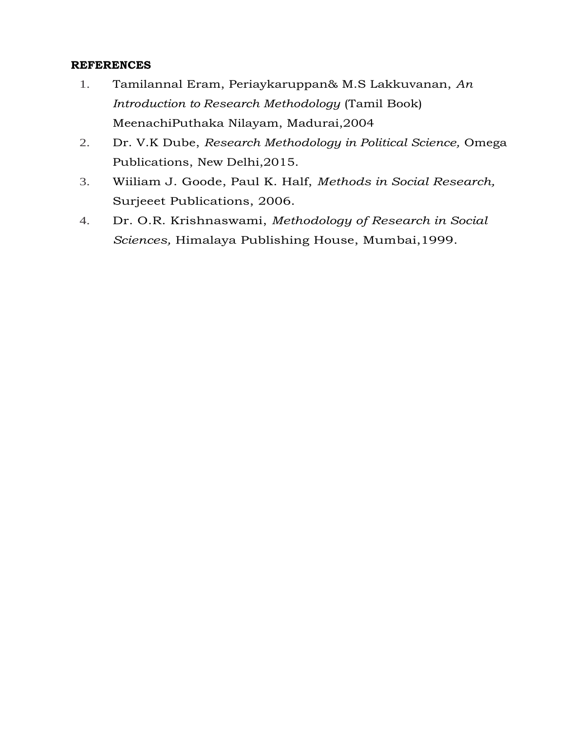- 1. Tamilannal Eram, Periaykaruppan& M.S Lakkuvanan, *An Introduction to Research Methodology* (Tamil Book) MeenachiPuthaka Nilayam, Madurai,2004
- 2. Dr. V.K Dube, *Research Methodology in Political Science,* Omega Publications, New Delhi,2015.
- 3. Wiiliam J. Goode, Paul K. Half, *Methods in Social Research,* Surjeeet Publications, 2006.
- 4. Dr. O.R. Krishnaswami, *Methodology of Research in Social Sciences,* Himalaya Publishing House, Mumbai,1999.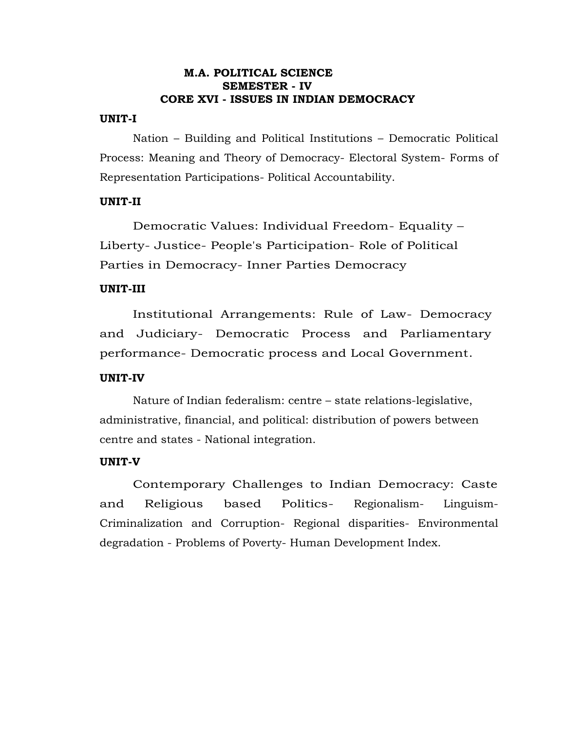#### **M.A. POLITICAL SCIENCE SEMESTER - IV CORE XVI - ISSUES IN INDIAN DEMOCRACY**

#### **UNIT-I**

Nation – Building and Political Institutions – Democratic Political Process: Meaning and Theory of Democracy- Electoral System- Forms of Representation Participations- Political Accountability.

#### **UNIT-II**

Democratic Values: Individual Freedom- Equality – Liberty- Justice- People's Participation- Role of Political Parties in Democracy- Inner Parties Democracy

#### **UNIT-III**

Institutional Arrangements: Rule of Law- Democracy and Judiciary- Democratic Process and Parliamentary performance- Democratic process and Local Government.

#### **UNIT-IV**

Nature of Indian federalism: centre – state relations-legislative, administrative, financial, and political: distribution of powers between centre and states - National integration.

#### **UNIT-V**

Contemporary Challenges to Indian Democracy: Caste and Religious based Politics- Regionalism- Linguism-Criminalization and Corruption- Regional disparities- Environmental degradation - Problems of Poverty- Human Development Index.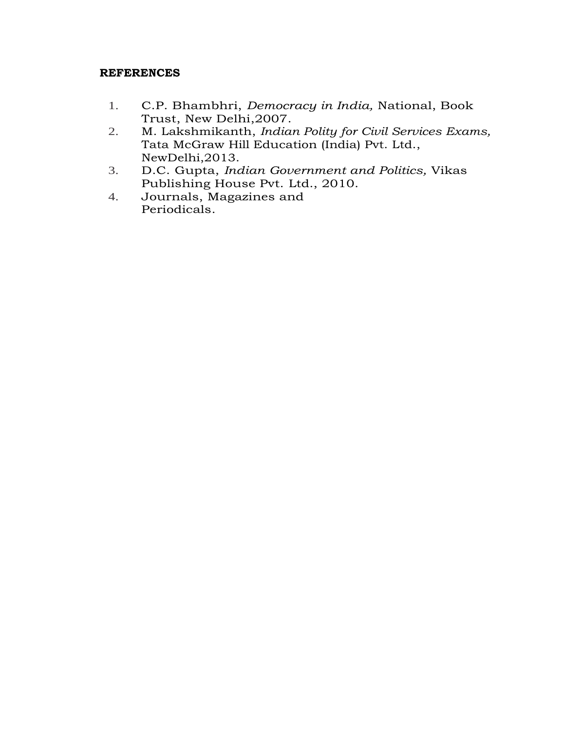- 1. C.P. Bhambhri, *Democracy in India,* National, Book Trust, New Delhi,2007.
- 2. M. Lakshmikanth, *Indian Polity for Civil Services Exams,* Tata McGraw Hill Education (India) Pvt. Ltd., NewDelhi,2013.
- 3. D.C. Gupta, *Indian Government and Politics,* Vikas Publishing House Pvt. Ltd., 2010.
- 4. Journals, Magazines and Periodicals.